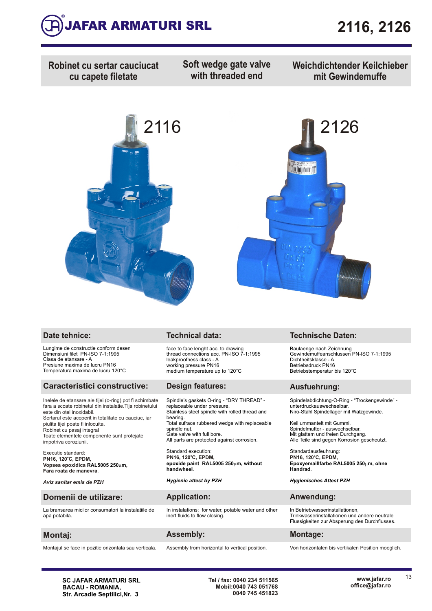

**Robinet cu sertar cauciucat cu capete filetate**

**Soft wedge gate valve with threaded end**

**Weichdichtender Keilchieber mit Gewindemuffe**





Lungime de constructie conform desen Dimensiuni filet PN-ISO 7-1:1995 Clasa de etansare - A Presiune maxima de lucru PN16 Temperatura maxima de lucru 120°C

### **Caracteristici constructive: Design features: Ausfuehrung:**

Inelele de etansare ale tijei (o-ring) pot fi schimbate fara a scoate robinetul din instalatie.Tija robinetului este din otel inoxidabil. Sertarul este acoperit in totalitate cu cauciuc, iar piulita tijei poate fi inlocuita. Robinet cu pasaj integral Toate elementele componente sunt protejate impotriva coroziunii.

Executie standard: **<sup>o</sup> PN16, 120 C, EPDM, Vopsea epoxidica , RAL5005 250**m**m Fara roata de manevra** .

*Aviz sanitar emis de PZH*

### **Domenii de utilizare: Application: Anwendung:**

La bransarea micilor consumatori la instalatiile de apa potabila.

Montajul se face in pozitie orizontala sau verticala. Assembly from horizontal to vertical position. Von horizontalen bis vertikalen Position moeglich.

face to face lenght acc. to drawing thread connections acc. PN-ISO 7-1:1995 leakproofness class - A working pressure PN16 medium temperature up to 120°C

Spindle's gaskets O-ring - "DRY THREAD" replaceable under pressure. Stainless steel spindle with rolled thread and bearing. Total sufrace rubbered wedge with replaceable spindle nut. Gate valve with full bore. All parts are protected against corrosion.

Standard execution : **epoxide paint RAL5005 250**m**m, without handwheel**. **<sup>o</sup> PN16, 120 C, EPDM,** 

### *Hygienic attest by PZH*

In instalations: for water, potable water and other in includes to flow closing.

### **Montaj: Assembly: Montage:**

### **Date tehnice: Technical data: Technische Daten:**

Baulaenge nach Zeichnung Gewindemuffeanschlussen PN-ISO 7-1:1995 Dichtheitsklasse - A Betriebsdruck PN16 Betriebstemperatur bis 120°C

Spindelabdichtung-O-Ring - "Trockengewinde" unterdruckauswechselbar. Niro-Stahl Spindellager mit Walzgewinde.

Keil ummantelt mit Gummi. Spindelmutter - auswechselbar. Mit glattem und freien Durchgang. Alle Teile sind gegen Korrosion gescheutzt.

Standardausfeuhrung : Epoxyemaillfarbe RAL5005 250um, ohne **Handrad**. **<sup>o</sup> PN16, 120 C, EPDM,** 

*Hygienisches Attest PZH* 

In Betriebwasserinstallationen, Trinkwasserinstallationen und andere neutrale Flussigkeiten zur Absperung des Durchflusses.

**SC JAFAR ARMATURI SRL BACAU - ROMANIA, Str. Arcadie Septilici,Nr. 3**

**Tel / fax: 0040 234 511565 Mobil:0040 743 051768 0040 745 451823**